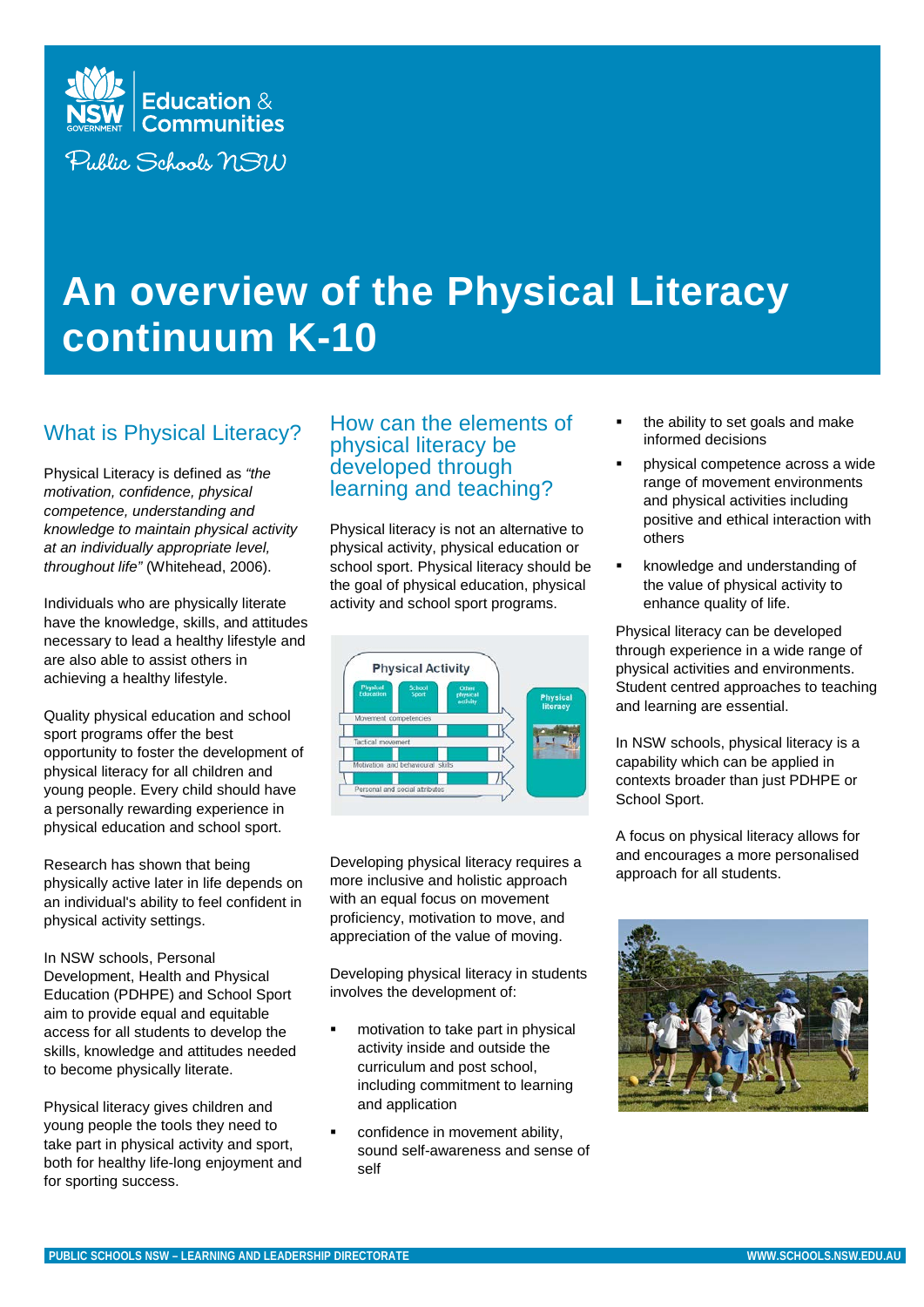

# **An overview of the Physical Literacy continuum K-10**

## What is Physical Literacy?

Physical Literacy is defined as *"the motivation, confidence, physical competence, understanding and knowledge to maintain physical activity at an individually appropriate level, throughout life"* (Whitehead, 2006).

Individuals who are physically literate have the knowledge, skills, and attitudes necessary to lead a healthy lifestyle and are also able to assist others in achieving a healthy lifestyle.

Quality physical education and school sport programs offer the best opportunity to foster the development of physical literacy for all children and young people. Every child should have a personally rewarding experience in physical education and school sport.

Research has shown that being physically active later in life depends on an individual's ability to feel confident in physical activity settings.

In NSW schools, Personal Development, Health and Physical Education (PDHPE) and School Sport aim to provide equal and equitable access for all students to develop the skills, knowledge and attitudes needed to become physically literate.

Physical literacy gives children and young people the tools they need to take part in physical activity and sport, both for healthy life-long enjoyment and for sporting success.

#### How can the elements of physical literacy be developed through learning and teaching?

Physical literacy is not an alternative to physical activity, physical education or school sport. Physical literacy should be the goal of physical education, physical activity and school sport programs.



Developing physical literacy requires a more inclusive and holistic approach with an equal focus on movement proficiency, motivation to move, and appreciation of the value of moving.

Developing physical literacy in students involves the development of:

- motivation to take part in physical activity inside and outside the curriculum and post school, including commitment to learning and application
- confidence in movement ability, sound self-awareness and sense of self
- the ability to set goals and make informed decisions
- physical competence across a wide range of movement environments and physical activities including positive and ethical interaction with others
- knowledge and understanding of the value of physical activity to enhance quality of life.

Physical literacy can be developed through experience in a wide range of physical activities and environments. Student centred approaches to teaching and learning are essential.

In NSW schools, physical literacy is a capability which can be applied in contexts broader than just PDHPE or School Sport.

A focus on physical literacy allows for and encourages a more personalised approach for all students.

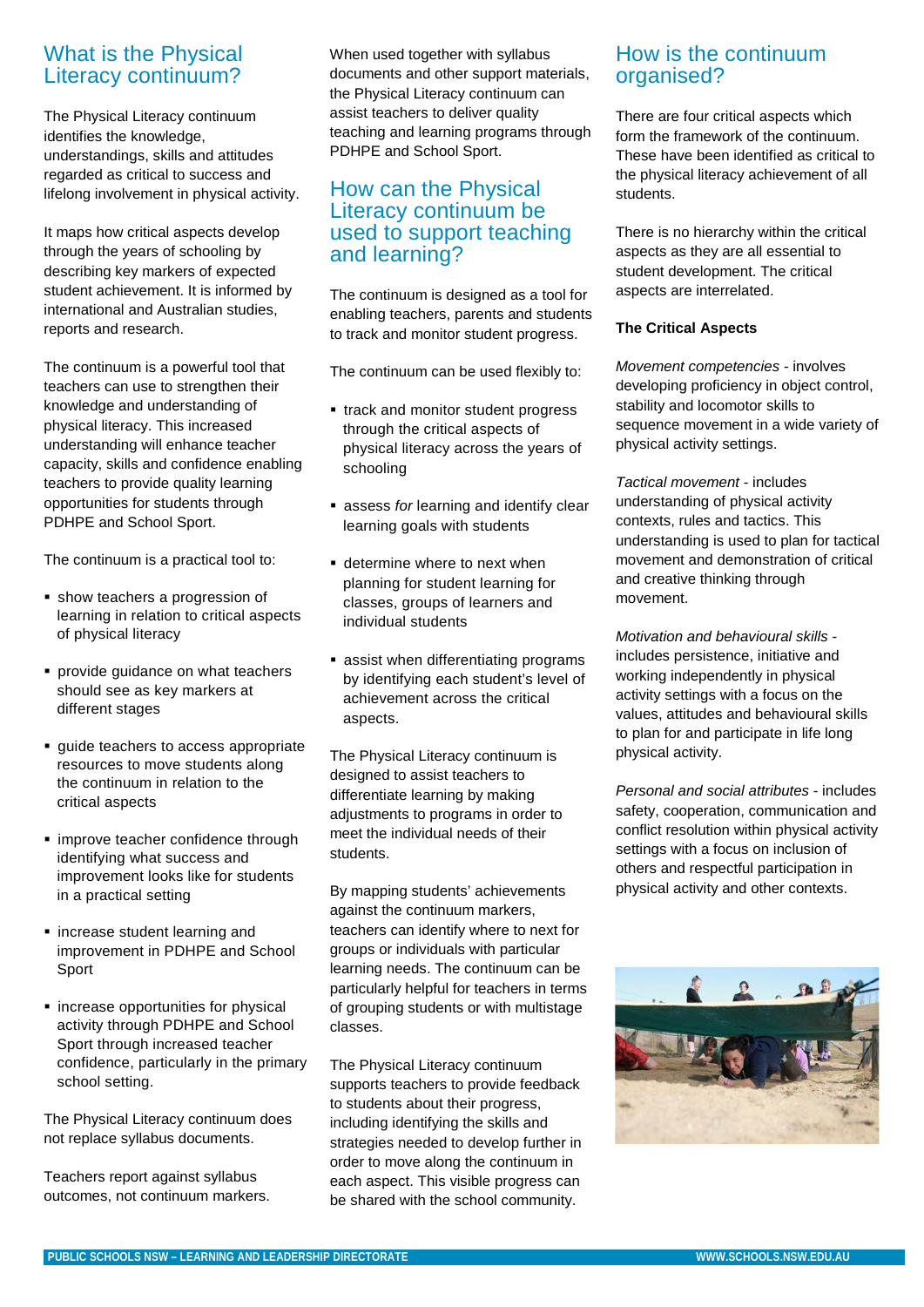## What is the Physical Literacy continuum?

The Physical Literacy continuum identifies the knowledge, understandings, skills and attitudes regarded as critical to success and lifelong involvement in physical activity.

It maps how critical aspects develop through the years of schooling by describing key markers of expected student achievement. It is informed by international and Australian studies, reports and research.

The continuum is a powerful tool that teachers can use to strengthen their knowledge and understanding of physical literacy. This increased understanding will enhance teacher capacity, skills and confidence enabling teachers to provide quality learning opportunities for students through PDHPE and School Sport.

The continuum is a practical tool to:

- show teachers a progression of learning in relation to critical aspects of physical literacy
- **Perovide guidance on what teachers** should see as key markers at different stages
- quide teachers to access appropriate resources to move students along the continuum in relation to the critical aspects
- **·** improve teacher confidence through identifying what success and improvement looks like for students in a practical setting
- **Exercise** student learning and improvement in PDHPE and School Sport
- **Exercise opportunities for physical** activity through PDHPE and School Sport through increased teacher confidence, particularly in the primary school setting.

The Physical Literacy continuum does not replace syllabus documents.

Teachers report against syllabus outcomes, not continuum markers. When used together with syllabus documents and other support materials, the Physical Literacy continuum can assist teachers to deliver quality teaching and learning programs through PDHPE and School Sport.

## How can the Physical Literacy continuum be used to support teaching and learning?

The continuum is designed as a tool for enabling teachers, parents and students to track and monitor student progress.

The continuum can be used flexibly to:

- track and monitor student progress through the critical aspects of physical literacy across the years of schooling
- assess *for* learning and identify clear learning goals with students
- **determine where to next when** planning for student learning for classes, groups of learners and individual students
- **assist when differentiating programs** by identifying each student's level of achievement across the critical aspects.

The Physical Literacy continuum is designed to assist teachers to differentiate learning by making adjustments to programs in order to meet the individual needs of their students.

By mapping students' achievements against the continuum markers, teachers can identify where to next for groups or individuals with particular learning needs. The continuum can be particularly helpful for teachers in terms of grouping students or with multistage classes.

The Physical Literacy continuum supports teachers to provide feedback to students about their progress, including identifying the skills and strategies needed to develop further in order to move along the continuum in each aspect. This visible progress can be shared with the school community.

## How is the continuum organised?

There are four critical aspects which form the framework of the continuum. These have been identified as critical to the physical literacy achievement of all students.

There is no hierarchy within the critical aspects as they are all essential to student development. The critical aspects are interrelated.

#### **The Critical Aspects**

*Movement competencies* - involves developing proficiency in object control, stability and locomotor skills to sequence movement in a wide variety of physical activity settings.

*Tactical movement* - includes understanding of physical activity contexts, rules and tactics. This understanding is used to plan for tactical movement and demonstration of critical and creative thinking through movement.

*Motivation and behavioural skills* includes persistence, initiative and working independently in physical activity settings with a focus on the values, attitudes and behavioural skills to plan for and participate in life long physical activity.

*Personal and social attributes* - includes safety, cooperation, communication and conflict resolution within physical activity settings with a focus on inclusion of others and respectful participation in physical activity and other contexts.